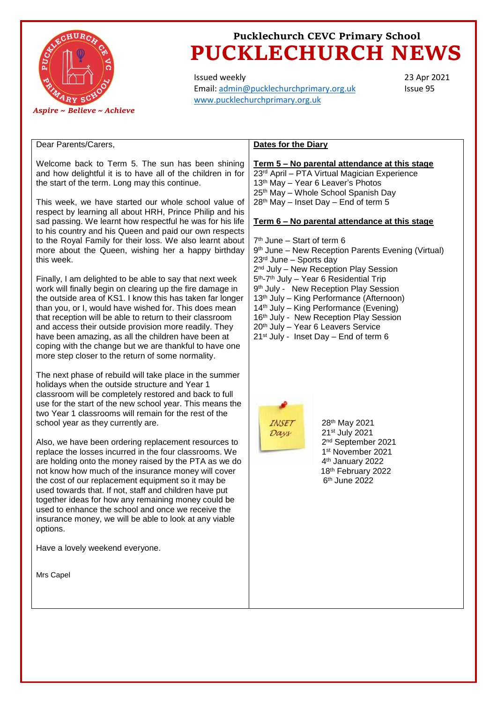

# **Pucklechurch CEVC Primary School PUCKLECHURCH NEWS**

Issued weekly Email: [admin@pucklechurchprimary.org.uk](mailto:admin@pucklechurchprimary.org.uk) [www.pucklechurchprimary.org.uk](http://www.pucklechurchprimary.org.uk/)

23 Apr 2021 Issue 95

### Dear Parents/Carers,

Welcome back to Term 5. The sun has been shining and how delightful it is to have all of the children in for the start of the term. Long may this continue.

This week, we have started our whole school value of respect by learning all about HRH, Prince Philip and his sad passing. We learnt how respectful he was for his life to his country and his Queen and paid our own respects to the Royal Family for their loss. We also learnt about more about the Queen, wishing her a happy birthday this week.

Finally, I am delighted to be able to say that next week work will finally begin on clearing up the fire damage in the outside area of KS1. I know this has taken far longer than you, or I, would have wished for. This does mean that reception will be able to return to their classroom and access their outside provision more readily. They have been amazing, as all the children have been at coping with the change but we are thankful to have one more step closer to the return of some normality.

The next phase of rebuild will take place in the summer holidays when the outside structure and Year 1 classroom will be completely restored and back to full use for the start of the new school year. This means the two Year 1 classrooms will remain for the rest of the school year as they currently are.

Also, we have been ordering replacement resources to replace the losses incurred in the four classrooms. We are holding onto the money raised by the PTA as we do not know how much of the insurance money will cover the cost of our replacement equipment so it may be used towards that. If not, staff and children have put together ideas for how any remaining money could be used to enhance the school and once we receive the insurance money, we will be able to look at any viable options.

Have a lovely weekend everyone.

Mrs Capel

## **Dates for the Diary**

**Term 5 – No parental attendance at this stage** 23rd April – PTA Virtual Magician Experience 13th May – Year 6 Leaver's Photos 25th May – Whole School Spanish Day  $28<sup>th</sup>$  May – Inset Day – End of term 5

#### **Term 6 – No parental attendance at this stage**

7 th June – Start of term 6 9<sup>th</sup> June – New Reception Parents Evening (Virtual) 23rd June – Sports day 2<sup>nd</sup> July – New Reception Play Session 5<sup>th</sup>-7<sup>th</sup> July – Year 6 Residential Trip 9<sup>th</sup> July - New Reception Play Session 13th July – King Performance (Afternoon) 14th July – King Performance (Evening) 16<sup>th</sup> July - New Reception Play Session 20th July – Year 6 Leavers Service 21st July - Inset Day – End of term 6



th May 2021 st July 2021 nd September 2021 st November 2021 th January 2022 th February 2022  $\sim$  6  $6<sup>th</sup>$  June 2022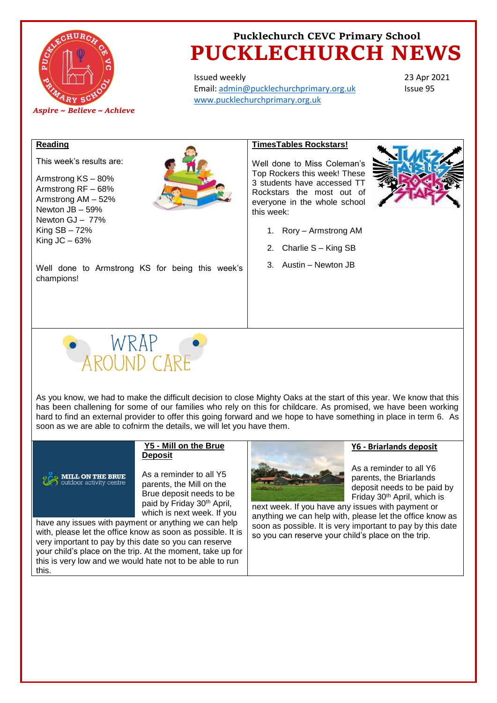

# **Pucklechurch CEVC Primary School PUCKLECHURCH NEWS**

Issued weekly Email: [admin@pucklechurchprimary.org.uk](mailto:admin@pucklechurchprimary.org.uk) [www.pucklechurchprimary.org.uk](http://www.pucklechurchprimary.org.uk/)

23 Apr 2021 Issue 95

#### **Reading**

This week's results are:

Armstrong KS – 80% Armstrong RF – 68% Armstrong AM – 52% Newton JB – 59% Newton GJ – 77% King SB – 72% King  $JC - 63%$ 



### **TimesTables Rockstars!**

Well done to Miss Coleman's Top Rockers this week! These 3 students have accessed TT Rockstars the most out of everyone in the whole school this week:



- 1. Rory Armstrong AM
- 2. Charlie S King SB
- 3. Austin Newton JB

Well done to Armstrong KS for being this week's champions!



As you know, we had to make the difficult decision to close Mighty Oaks at the start of this year. We know that this has been challening for some of our families who rely on this for childcare. As promised, we have been working hard to find an external provider to offer this going forward and we hope to have something in place in term 6. As soon as we are able to cofnirm the details, we will let you have them.

#### **Y5 - Mill on the Brue Deposit**

**MILL ON THE BRUE** 

As a reminder to all Y5 parents, the Mill on the Brue deposit needs to be paid by Friday 30th April, which is next week. If you

have any issues with payment or anything we can help with, please let the office know as soon as possible. It is very important to pay by this date so you can reserve your child's place on the trip. At the moment, take up for this is very low and we would hate not to be able to run this.



As a reminder to all Y6

**Y6 - Briarlands deposit** 

parents, the Briarlands deposit needs to be paid by Friday 30th April, which is

next week. If you have any issues with payment or anything we can help with, please let the office know as soon as possible. It is very important to pay by this date so you can reserve your child's place on the trip.